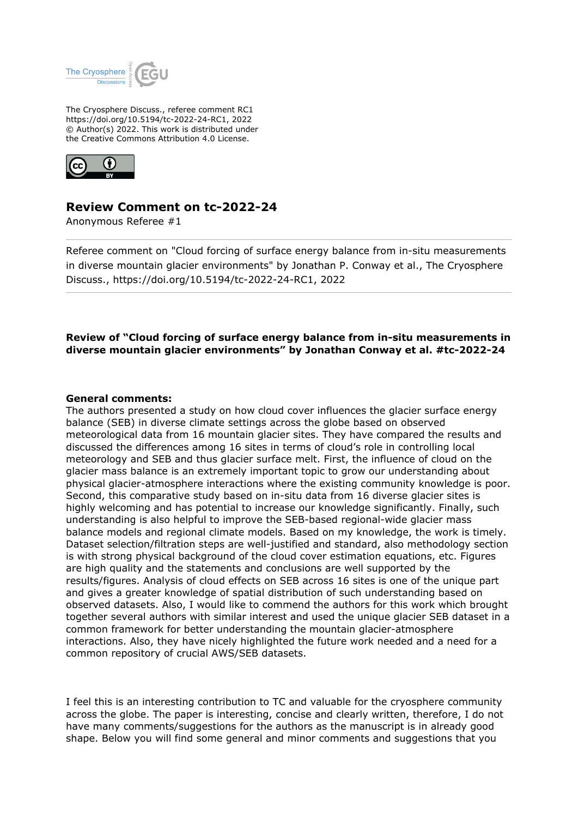

The Cryosphere Discuss., referee comment RC1 https://doi.org/10.5194/tc-2022-24-RC1, 2022 © Author(s) 2022. This work is distributed under the Creative Commons Attribution 4.0 License.



# **Review Comment on tc-2022-24**

Anonymous Referee #1

Referee comment on "Cloud forcing of surface energy balance from in-situ measurements in diverse mountain glacier environments" by Jonathan P. Conway et al., The Cryosphere Discuss., https://doi.org/10.5194/tc-2022-24-RC1, 2022

## **Review of "Cloud forcing of surface energy balance from in-situ measurements in diverse mountain glacier environments" by Jonathan Conway et al. #tc-2022-24**

### **General comments:**

The authors presented a study on how cloud cover influences the glacier surface energy balance (SEB) in diverse climate settings across the globe based on observed meteorological data from 16 mountain glacier sites. They have compared the results and discussed the differences among 16 sites in terms of cloud's role in controlling local meteorology and SEB and thus glacier surface melt. First, the influence of cloud on the glacier mass balance is an extremely important topic to grow our understanding about physical glacier-atmosphere interactions where the existing community knowledge is poor. Second, this comparative study based on in-situ data from 16 diverse glacier sites is highly welcoming and has potential to increase our knowledge significantly. Finally, such understanding is also helpful to improve the SEB-based regional-wide glacier mass balance models and regional climate models. Based on my knowledge, the work is timely. Dataset selection/filtration steps are well-justified and standard, also methodology section is with strong physical background of the cloud cover estimation equations, etc. Figures are high quality and the statements and conclusions are well supported by the results/figures. Analysis of cloud effects on SEB across 16 sites is one of the unique part and gives a greater knowledge of spatial distribution of such understanding based on observed datasets. Also, I would like to commend the authors for this work which brought together several authors with similar interest and used the unique glacier SEB dataset in a common framework for better understanding the mountain glacier-atmosphere interactions. Also, they have nicely highlighted the future work needed and a need for a common repository of crucial AWS/SEB datasets.

I feel this is an interesting contribution to TC and valuable for the cryosphere community across the globe. The paper is interesting, concise and clearly written, therefore, I do not have many comments/suggestions for the authors as the manuscript is in already good shape. Below you will find some general and minor comments and suggestions that you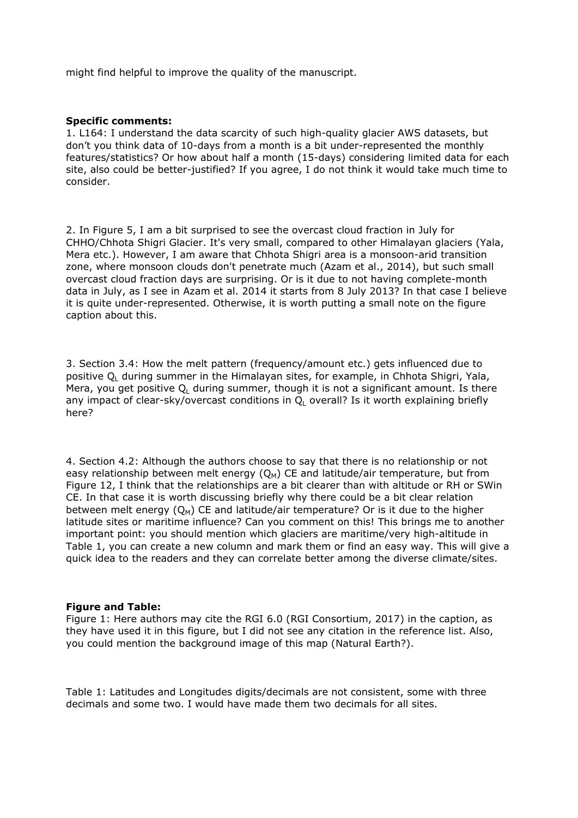might find helpful to improve the quality of the manuscript.

### **Specific comments:**

1. L164: I understand the data scarcity of such high-quality glacier AWS datasets, but don't you think data of 10-days from a month is a bit under-represented the monthly features/statistics? Or how about half a month (15-days) considering limited data for each site, also could be better-justified? If you agree, I do not think it would take much time to consider.

2. In Figure 5, I am a bit surprised to see the overcast cloud fraction in July for CHHO/Chhota Shigri Glacier. It's very small, compared to other Himalayan glaciers (Yala, Mera etc.). However, I am aware that Chhota Shigri area is a monsoon-arid transition zone, where monsoon clouds don't penetrate much (Azam et al., 2014), but such small overcast cloud fraction days are surprising. Or is it due to not having complete-month data in July, as I see in Azam et al. 2014 it starts from 8 July 2013? In that case I believe it is quite under-represented. Otherwise, it is worth putting a small note on the figure caption about this.

3. Section 3.4: How the melt pattern (frequency/amount etc.) gets influenced due to positive  $\mathsf{Q}_\mathsf{L}$  during summer in the Himalayan sites, for example, in Chhota Shigri, Yala, Mera, you get positive  $Q_L$  during summer, though it is not a significant amount. Is there any impact of clear-sky/overcast conditions in  $\mathsf{Q}_\mathsf{L}$  overall? Is it worth explaining briefly here?

4. Section 4.2: Although the authors choose to say that there is no relationship or not easy relationship between melt energy  $(Q_M)$  CE and latitude/air temperature, but from Figure 12, I think that the relationships are a bit clearer than with altitude or RH or SWin CE. In that case it is worth discussing briefly why there could be a bit clear relation between melt energy  $(Q_M)$  CE and latitude/air temperature? Or is it due to the higher latitude sites or maritime influence? Can you comment on this! This brings me to another important point: you should mention which glaciers are maritime/very high-altitude in Table 1, you can create a new column and mark them or find an easy way. This will give a quick idea to the readers and they can correlate better among the diverse climate/sites.

#### **Figure and Table:**

Figure 1: Here authors may cite the RGI 6.0 (RGI Consortium, 2017) in the caption, as they have used it in this figure, but I did not see any citation in the reference list. Also, you could mention the background image of this map (Natural Earth?).

Table 1: Latitudes and Longitudes digits/decimals are not consistent, some with three decimals and some two. I would have made them two decimals for all sites.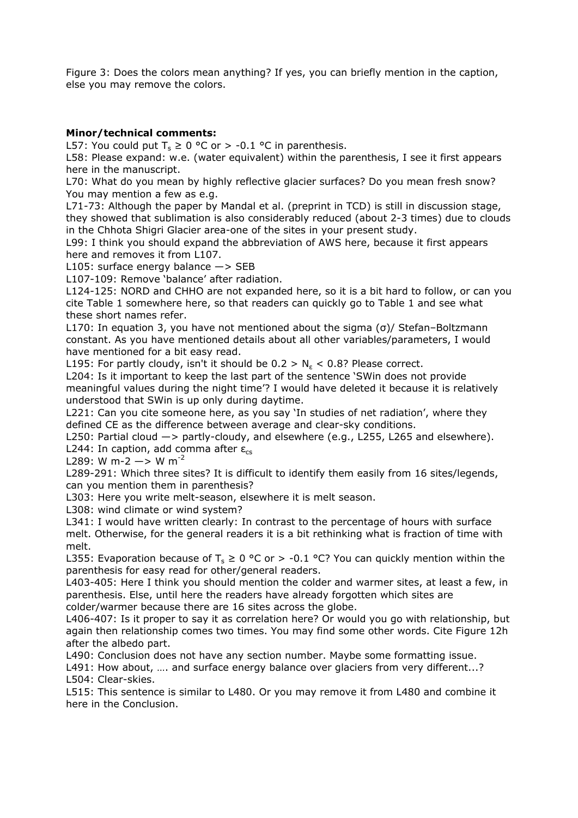Figure 3: Does the colors mean anything? If yes, you can briefly mention in the caption, else you may remove the colors.

### **Minor/technical comments:**

L57: You could put  $T_s \geq 0$  °C or > -0.1 °C in parenthesis.

L58: Please expand: w.e. (water equivalent) within the parenthesis, I see it first appears here in the manuscript.

L70: What do you mean by highly reflective glacier surfaces? Do you mean fresh snow? You may mention a few as e.g.

L71-73: Although the paper by Mandal et al. (preprint in TCD) is still in discussion stage, they showed that sublimation is also considerably reduced (about 2-3 times) due to clouds in the Chhota Shigri Glacier area-one of the sites in your present study.

L99: I think you should expand the abbreviation of AWS here, because it first appears here and removes it from L107.

L105: surface energy balance  $\rightarrow$  SEB

L107-109: Remove 'balance' after radiation.

L124-125: NORD and CHHO are not expanded here, so it is a bit hard to follow, or can you cite Table 1 somewhere here, so that readers can quickly go to Table 1 and see what these short names refer.

L170: In equation 3, you have not mentioned about the sigma (σ)/ Stefan–Boltzmann constant. As you have mentioned details about all other variables/parameters, I would have mentioned for a bit easy read.

L195: For partly cloudy, isn't it should be  $0.2 > N_{\epsilon} < 0.8$ ? Please correct.

L204: Is it important to keep the last part of the sentence 'SWin does not provide meaningful values during the night time'? I would have deleted it because it is relatively understood that SWin is up only during daytime.

L221: Can you cite someone here, as you say 'In studies of net radiation', where they defined CE as the difference between average and clear-sky conditions.

L250: Partial cloud  $\rightarrow$  partly-cloudy, and elsewhere (e.g., L255, L265 and elsewhere). L244: In caption, add comma after  $\epsilon_{cs}$ 

L289: W m-2  $\rightarrow$  W m<sup>-2</sup>

L289-291: Which three sites? It is difficult to identify them easily from 16 sites/legends, can you mention them in parenthesis?

L303: Here you write melt-season, elsewhere it is melt season.

L308: wind climate or wind system?

L341: I would have written clearly: In contrast to the percentage of hours with surface melt. Otherwise, for the general readers it is a bit rethinking what is fraction of time with melt.

L355: Evaporation because of T<sub>s</sub>  $\geq 0$  °C or  $>$  -0.1 °C? You can quickly mention within the parenthesis for easy read for other/general readers.

L403-405: Here I think you should mention the colder and warmer sites, at least a few, in parenthesis. Else, until here the readers have already forgotten which sites are colder/warmer because there are 16 sites across the globe.

L406-407: Is it proper to say it as correlation here? Or would you go with relationship, but again then relationship comes two times. You may find some other words. Cite Figure 12h after the albedo part.

L490: Conclusion does not have any section number. Maybe some formatting issue.

L491: How about, .... and surface energy balance over glaciers from very different...? L504: Clear-skies.

L515: This sentence is similar to L480. Or you may remove it from L480 and combine it here in the Conclusion.